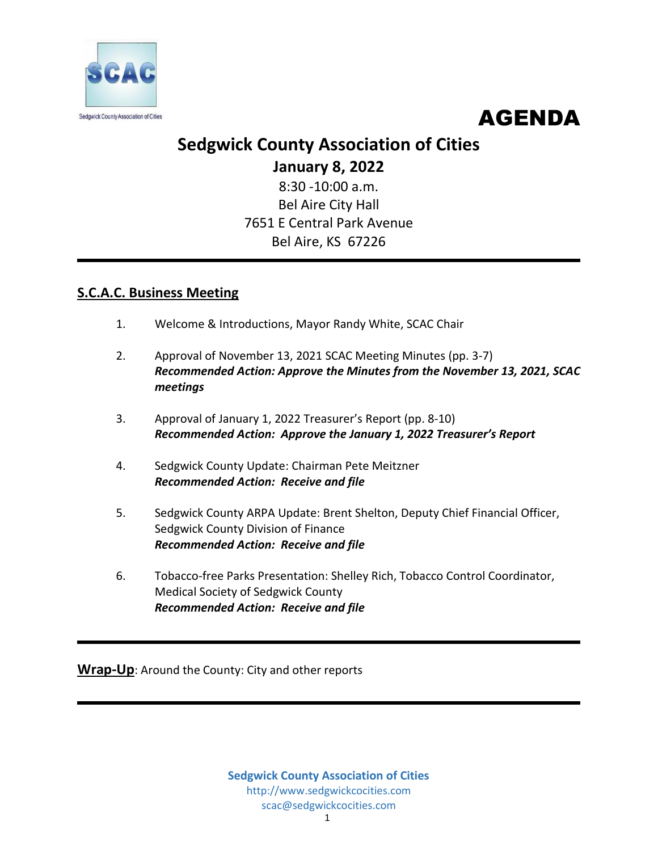



# **Sedgwick County Association of Cities**

**January 8, 2022**

8:30 -10:00 a.m. Bel Aire City Hall 7651 E Central Park Avenue Bel Aire, KS 67226

# **S.C.A.C. Business Meeting**

- 1. Welcome & Introductions, Mayor Randy White, SCAC Chair
- 2. Approval of November 13, 2021 SCAC Meeting Minutes (pp. 3-7) *Recommended Action: Approve the Minutes from the November 13, 2021, SCAC meetings*
- 3. Approval of January 1, 2022 Treasurer's Report (pp. 8-10) *Recommended Action: Approve the January 1, 2022 Treasurer's Report*
- 4. Sedgwick County Update: Chairman Pete Meitzner *Recommended Action: Receive and file*
- 5. Sedgwick County ARPA Update: Brent Shelton, Deputy Chief Financial Officer, Sedgwick County Division of Finance *Recommended Action: Receive and file*
- 6. Tobacco-free Parks Presentation: Shelley Rich, Tobacco Control Coordinator, Medical Society of Sedgwick County *Recommended Action: Receive and file*

**Wrap-Up**: Around the County: City and other reports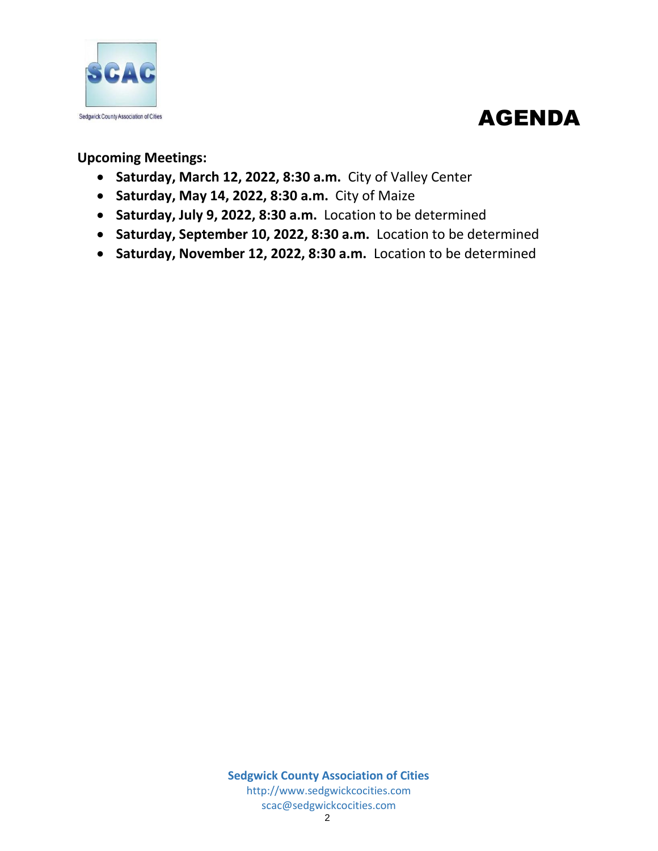

# AGENDA

**Upcoming Meetings:**

- **Saturday, March 12, 2022, 8:30 a.m.** City of Valley Center
- **Saturday, May 14, 2022, 8:30 a.m.** City of Maize
- **Saturday, July 9, 2022, 8:30 a.m.** Location to be determined
- **Saturday, September 10, 2022, 8:30 a.m.** Location to be determined
- **Saturday, November 12, 2022, 8:30 a.m.** Location to be determined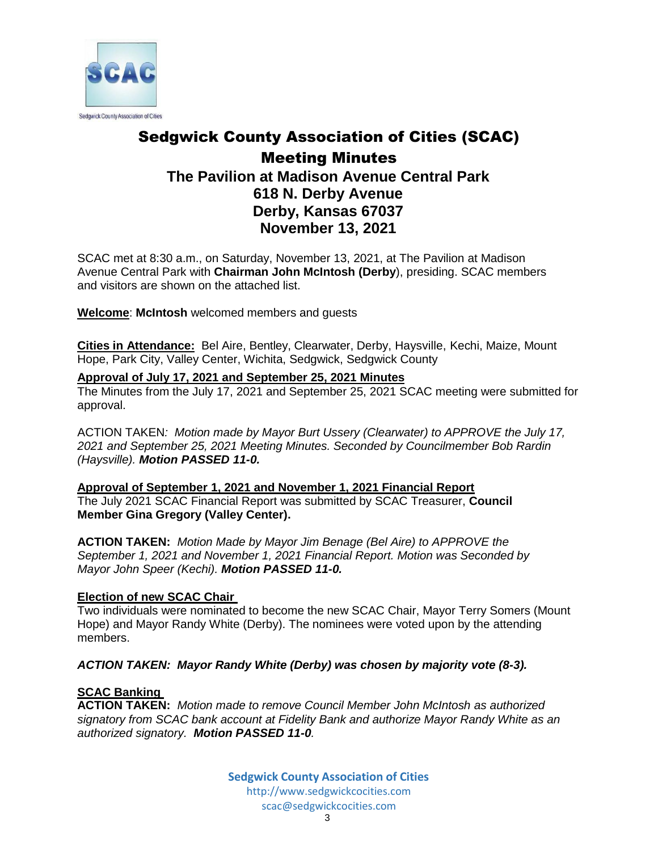

# Sedgwick County Association of Cities (SCAC) Meeting Minutes **The Pavilion at Madison Avenue Central Park 618 N. Derby Avenue Derby, Kansas 67037 November 13, 2021**

SCAC met at 8:30 a.m., on Saturday, November 13, 2021, at The Pavilion at Madison Avenue Central Park with **Chairman John McIntosh (Derby**), presiding. SCAC members and visitors are shown on the attached list.

**Welcome**: **McIntosh** welcomed members and guests

**Cities in Attendance:** Bel Aire, Bentley, Clearwater, Derby, Haysville, Kechi, Maize, Mount Hope, Park City, Valley Center, Wichita, Sedgwick, Sedgwick County

## **Approval of July 17, 2021 and September 25, 2021 Minutes**

The Minutes from the July 17, 2021 and September 25, 2021 SCAC meeting were submitted for approval.

ACTION TAKEN*: Motion made by Mayor Burt Ussery (Clearwater) to APPROVE the July 17, 2021 and September 25, 2021 Meeting Minutes. Seconded by Councilmember Bob Rardin (Haysville). Motion PASSED 11-0.*

**Approval of September 1, 2021 and November 1, 2021 Financial Report** The July 2021 SCAC Financial Report was submitted by SCAC Treasurer, **Council Member Gina Gregory (Valley Center).**

**ACTION TAKEN:** *Motion Made by Mayor Jim Benage (Bel Aire) to APPROVE the September 1, 2021 and November 1, 2021 Financial Report. Motion was Seconded by Mayor John Speer (Kechi). Motion PASSED 11-0.*

## **Election of new SCAC Chair**

Two individuals were nominated to become the new SCAC Chair, Mayor Terry Somers (Mount Hope) and Mayor Randy White (Derby). The nominees were voted upon by the attending members.

*ACTION TAKEN: Mayor Randy White (Derby) was chosen by majority vote (8-3).*

# **SCAC Banking**

**ACTION TAKEN:** *Motion made to remove Council Member John McIntosh as authorized signatory from SCAC bank account at Fidelity Bank and authorize Mayor Randy White as an authorized signatory. Motion PASSED 11-0.*

> **Sedgwick County Association of Cities** [http://www.sedgwickcocities.com](http://www.sedgwickcocities.com/) [scac@sedgwickcocities.com](mailto:scac@sedgwickcocities.com)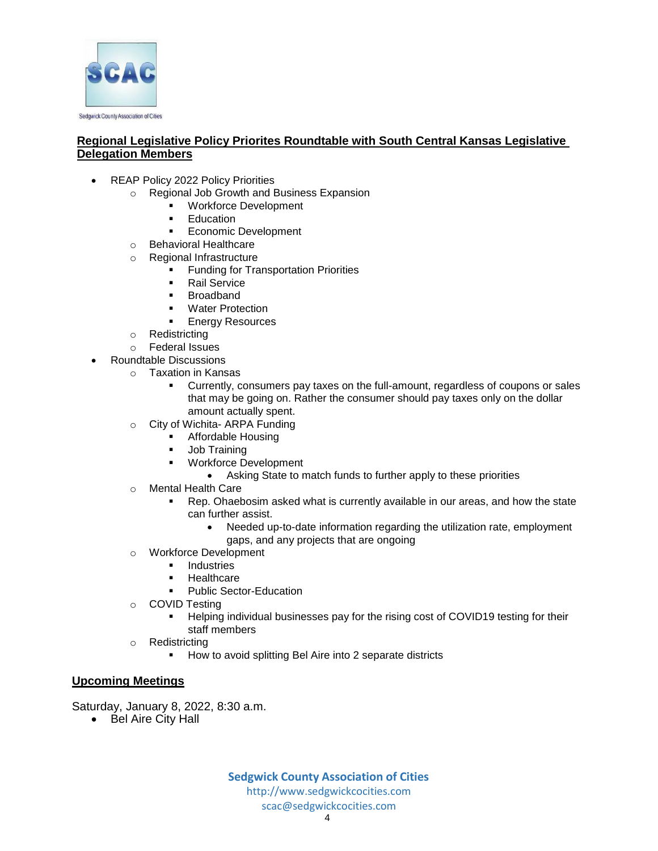

### **Regional Legislative Policy Priorites Roundtable with South Central Kansas Legislative Delegation Members**

- REAP Policy 2022 Policy Priorities
	- o Regional Job Growth and Business Expansion
		- Workforce Development
			- **Education**
			- **Economic Development**
	- o Behavioral Healthcare
	- o Regional Infrastructure
		- **Funding for Transportation Priorities**
		- **Rail Service**
		- **Broadband**
		- **Water Protection**
		- **Energy Resources**
	- o Redistricting
	- o Federal Issues
- Roundtable Discussions
	- o Taxation in Kansas
		- Currently, consumers pay taxes on the full-amount, regardless of coupons or sales that may be going on. Rather the consumer should pay taxes only on the dollar amount actually spent.
	- o City of Wichita- ARPA Funding
		- Affordable Housing
		- **Job Training**
		- **Workforce Development** 
			- Asking State to match funds to further apply to these priorities
	- o Mental Health Care
		- Rep. Ohaebosim asked what is currently available in our areas, and how the state can further assist.
			- Needed up-to-date information regarding the utilization rate, employment gaps, and any projects that are ongoing
	- o Workforce Development
		- **Industries**
		- **Healthcare**
		- Public Sector-Education
	- o COVID Testing
		- Helping individual businesses pay for the rising cost of COVID19 testing for their staff members
	- o Redistricting
		- How to avoid splitting Bel Aire into 2 separate districts

#### **Upcoming Meetings**

Saturday, January 8, 2022, 8:30 a.m.

• Bel Aire City Hall

**Sedgwick County Association of Cities** [http://www.sedgwickcocities.com](http://www.sedgwickcocities.com/) [scac@sedgwickcocities.com](mailto:scac@sedgwickcocities.com)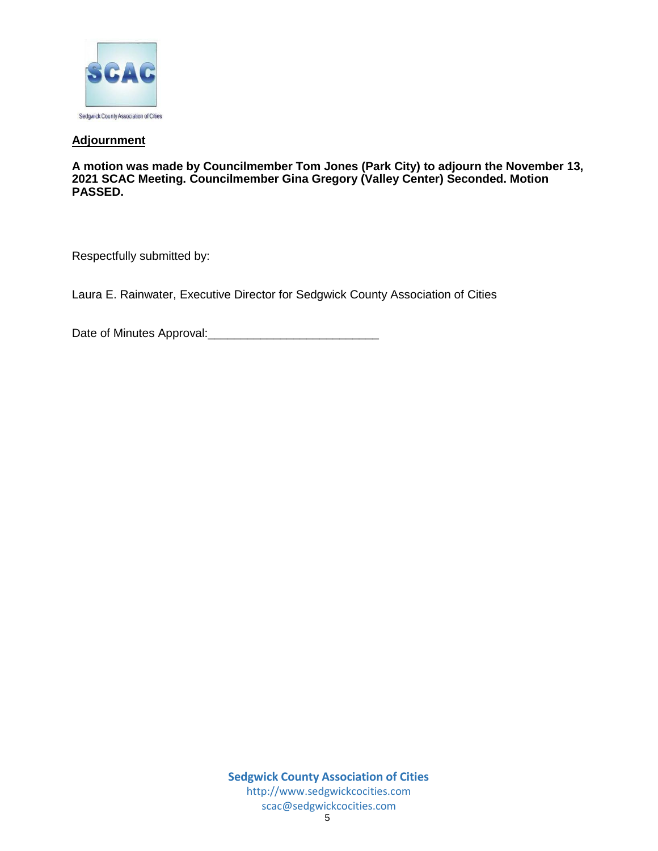

### **Adjournment**

**A motion was made by Councilmember Tom Jones (Park City) to adjourn the November 13, 2021 SCAC Meeting. Councilmember Gina Gregory (Valley Center) Seconded. Motion PASSED.** 

Respectfully submitted by:

Laura E. Rainwater, Executive Director for Sedgwick County Association of Cities

Date of Minutes Approval: Date of Minutes Approval: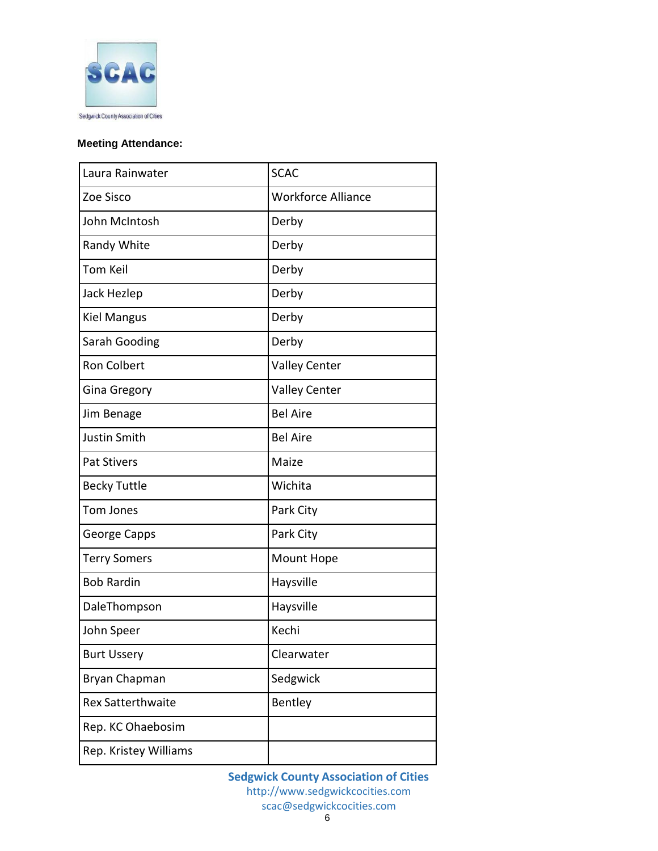

# **Meeting Attendance:**

| Laura Rainwater          | <b>SCAC</b>               |
|--------------------------|---------------------------|
| Zoe Sisco                | <b>Workforce Alliance</b> |
| John McIntosh            | Derby                     |
| Randy White              | Derby                     |
| <b>Tom Keil</b>          | Derby                     |
| Jack Hezlep              | Derby                     |
| <b>Kiel Mangus</b>       | Derby                     |
| Sarah Gooding            | Derby                     |
| <b>Ron Colbert</b>       | <b>Valley Center</b>      |
| Gina Gregory             | <b>Valley Center</b>      |
| Jim Benage               | <b>Bel Aire</b>           |
| <b>Justin Smith</b>      | <b>Bel Aire</b>           |
| <b>Pat Stivers</b>       | Maize                     |
| <b>Becky Tuttle</b>      | Wichita                   |
| <b>Tom Jones</b>         | Park City                 |
| George Capps             | Park City                 |
| <b>Terry Somers</b>      | Mount Hope                |
| <b>Bob Rardin</b>        | Haysville                 |
| DaleThompson             | Haysville                 |
| John Speer               | Kechi                     |
| <b>Burt Ussery</b>       | Clearwater                |
| Bryan Chapman            | Sedgwick                  |
| <b>Rex Satterthwaite</b> | Bentley                   |
| Rep. KC Ohaebosim        |                           |
| Rep. Kristey Williams    |                           |

**Sedgwick County Association of Cities** [http://www.sedgwickcocities.com](http://www.sedgwickcocities.com/) [scac@sedgwickcocities.com](mailto:scac@sedgwickcocities.com)